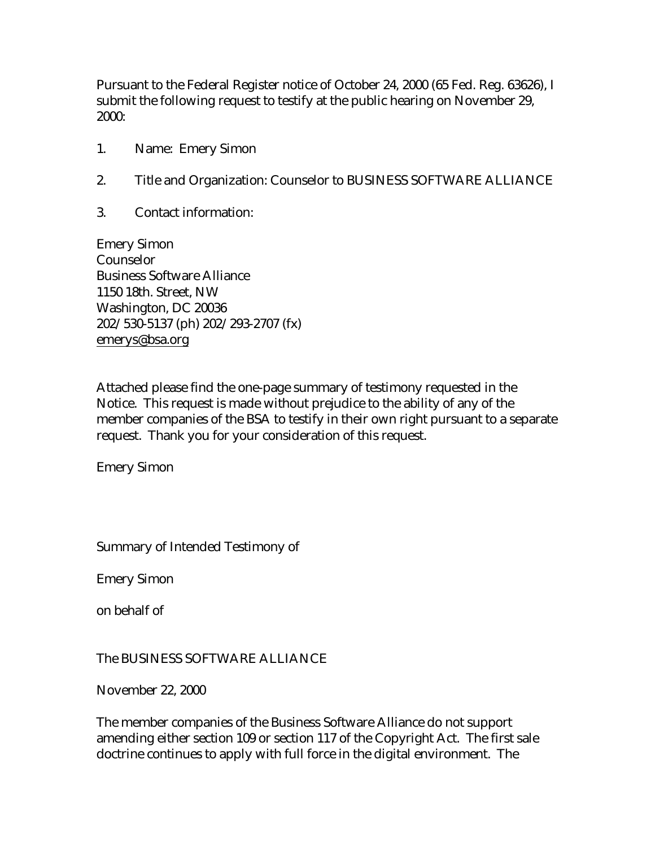Pursuant to the Federal Register notice of October 24, 2000 (65 Fed. Reg. 63626), I submit the following request to testify at the public hearing on November 29, 2000:

- 1. Name: Emery Simon
- 2. Title and Organization: Counselor to BUSINESS SOFTWARE ALLIANCE
- 3. Contact information:

Emery Simon Counselor Business Software Alliance 1150 18th. Street, NW Washington, DC 20036 202/530-5137 (ph) 202/293-2707 (fx) emerys@bsa.org

Attached please find the one-page summary of testimony requested in the Notice. This request is made without prejudice to the ability of any of the member companies of the BSA to testify in their own right pursuant to a separate request. Thank you for your consideration of this request.

Emery Simon

Summary of Intended Testimony of

Emery Simon

on behalf of

The BUSINESS SOFTWARE ALLIANCE

November 22, 2000

The member companies of the Business Software Alliance do not support amending either section 109 or section 117 of the Copyright Act. The first sale doctrine continues to apply with full force in the digital environment. The